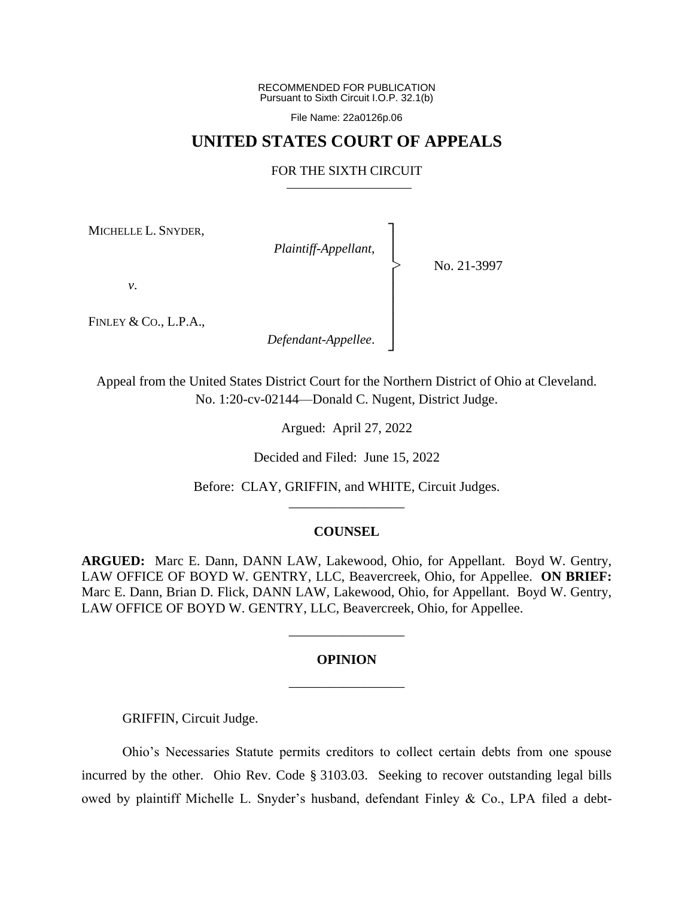RECOMMENDED FOR PUBLICATION Pursuant to Sixth Circuit I.O.P. 32.1(b)

File Name: 22a0126p.06

# **UNITED STATES COURT OF APPEALS**

### FOR THE SIXTH CIRCUIT

┐ │ │ │ │ │ │ │ ┘

|<br>|<br>|

MICHELLE L. SNYDER,

*Plaintiff-Appellant*,

No. 21-3997

*v*.

FINLEY & CO., L.P.A.,

*Defendant-Appellee*.

Appeal from the United States District Court for the Northern District of Ohio at Cleveland. No. 1:20-cv-02144—Donald C. Nugent, District Judge.

Argued: April 27, 2022

Decided and Filed: June 15, 2022

Before: CLAY, GRIFFIN, and WHITE, Circuit Judges. \_\_\_\_\_\_\_\_\_\_\_\_\_\_\_\_\_

## **COUNSEL**

**ARGUED:** Marc E. Dann, DANN LAW, Lakewood, Ohio, for Appellant. Boyd W. Gentry, LAW OFFICE OF BOYD W. GENTRY, LLC, Beavercreek, Ohio, for Appellee. **ON BRIEF:** Marc E. Dann, Brian D. Flick, DANN LAW, Lakewood, Ohio, for Appellant. Boyd W. Gentry, LAW OFFICE OF BOYD W. GENTRY, LLC, Beavercreek, Ohio, for Appellee.

# **OPINION** \_\_\_\_\_\_\_\_\_\_\_\_\_\_\_\_\_

\_\_\_\_\_\_\_\_\_\_\_\_\_\_\_\_\_

GRIFFIN, Circuit Judge.

Ohio's Necessaries Statute permits creditors to collect certain debts from one spouse incurred by the other. Ohio Rev. Code § 3103.03. Seeking to recover outstanding legal bills owed by plaintiff Michelle L. Snyder's husband, defendant Finley & Co., LPA filed a debt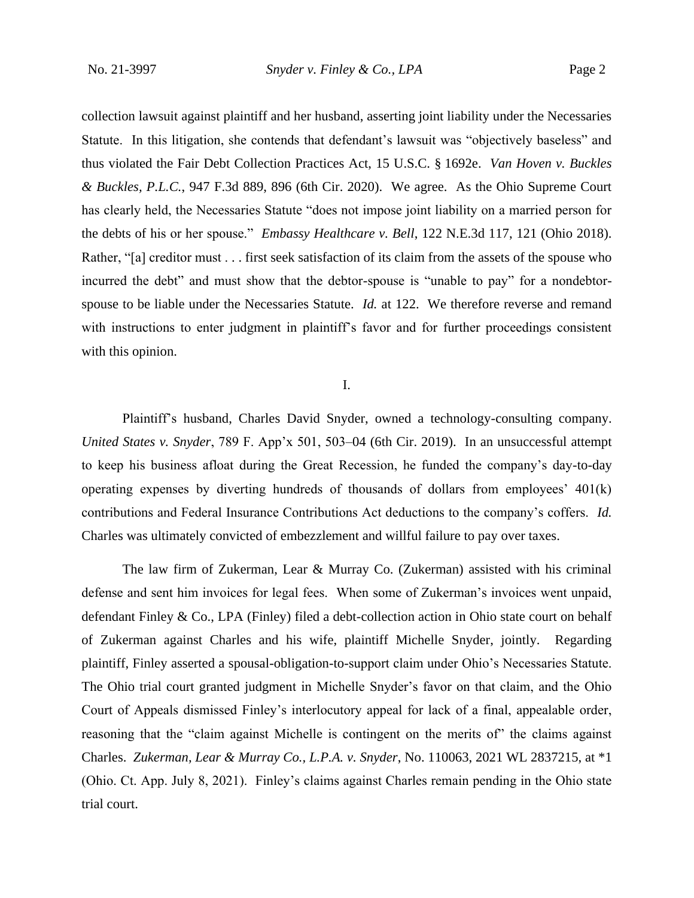collection lawsuit against plaintiff and her husband, asserting joint liability under the Necessaries Statute. In this litigation, she contends that defendant's lawsuit was "objectively baseless" and thus violated the Fair Debt Collection Practices Act, 15 U.S.C. § 1692e. *Van Hoven v. Buckles & Buckles, P.L.C.*, 947 F.3d 889, 896 (6th Cir. 2020). We agree. As the Ohio Supreme Court has clearly held, the Necessaries Statute "does not impose joint liability on a married person for the debts of his or her spouse." *Embassy Healthcare v. Bell*, 122 N.E.3d 117, 121 (Ohio 2018). Rather, "[a] creditor must . . . first seek satisfaction of its claim from the assets of the spouse who incurred the debt" and must show that the debtor-spouse is "unable to pay" for a nondebtorspouse to be liable under the Necessaries Statute. *Id.* at 122. We therefore reverse and remand with instructions to enter judgment in plaintiff's favor and for further proceedings consistent with this opinion.

### I.

Plaintiff's husband, Charles David Snyder, owned a technology-consulting company. *United States v. Snyder*, 789 F. App'x 501, 503–04 (6th Cir. 2019). In an unsuccessful attempt to keep his business afloat during the Great Recession, he funded the company's day-to-day operating expenses by diverting hundreds of thousands of dollars from employees' 401(k) contributions and Federal Insurance Contributions Act deductions to the company's coffers. *Id.* Charles was ultimately convicted of embezzlement and willful failure to pay over taxes.

The law firm of Zukerman, Lear & Murray Co. (Zukerman) assisted with his criminal defense and sent him invoices for legal fees. When some of Zukerman's invoices went unpaid, defendant Finley & Co., LPA (Finley) filed a debt-collection action in Ohio state court on behalf of Zukerman against Charles and his wife, plaintiff Michelle Snyder, jointly. Regarding plaintiff, Finley asserted a spousal-obligation-to-support claim under Ohio's Necessaries Statute. The Ohio trial court granted judgment in Michelle Snyder's favor on that claim, and the Ohio Court of Appeals dismissed Finley's interlocutory appeal for lack of a final, appealable order, reasoning that the "claim against Michelle is contingent on the merits of" the claims against Charles. *Zukerman, Lear & Murray Co., L.P.A. v. Snyder*, No. 110063, 2021 WL 2837215, at \*1 (Ohio. Ct. App. July 8, 2021). Finley's claims against Charles remain pending in the Ohio state trial court.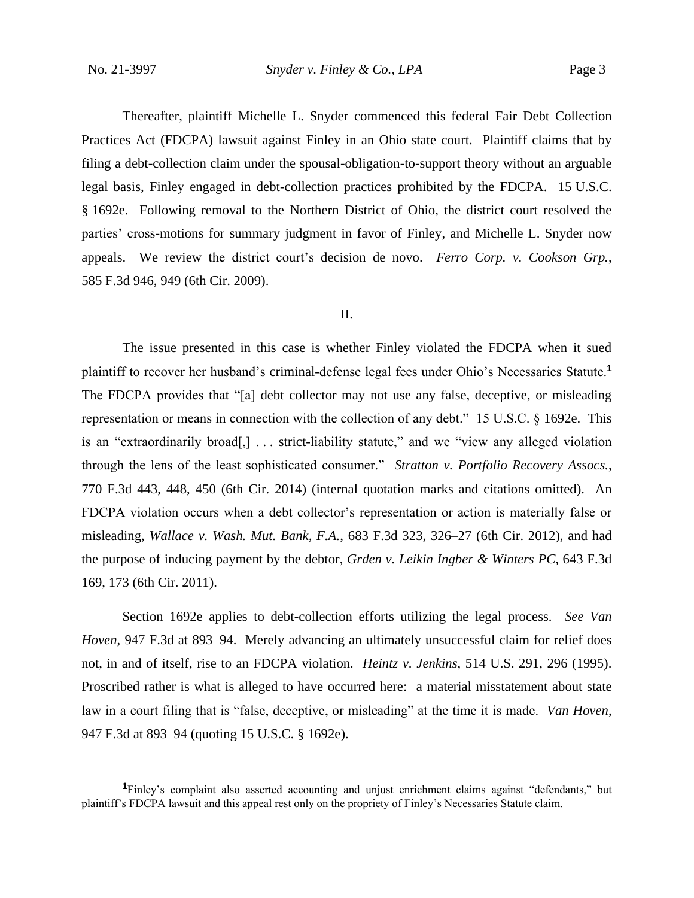Thereafter, plaintiff Michelle L. Snyder commenced this federal Fair Debt Collection Practices Act (FDCPA) lawsuit against Finley in an Ohio state court. Plaintiff claims that by filing a debt-collection claim under the spousal-obligation-to-support theory without an arguable legal basis, Finley engaged in debt-collection practices prohibited by the FDCPA. 15 U.S.C. § 1692e. Following removal to the Northern District of Ohio, the district court resolved the parties' cross-motions for summary judgment in favor of Finley, and Michelle L. Snyder now appeals. We review the district court's decision de novo. *Ferro Corp. v. Cookson Grp.*, 585 F.3d 946, 949 (6th Cir. 2009).

### II.

The issue presented in this case is whether Finley violated the FDCPA when it sued plaintiff to recover her husband's criminal-defense legal fees under Ohio's Necessaries Statute.**<sup>1</sup>** The FDCPA provides that "[a] debt collector may not use any false, deceptive, or misleading representation or means in connection with the collection of any debt." 15 U.S.C. § 1692e. This is an "extraordinarily broad[,] . . . strict-liability statute," and we "view any alleged violation through the lens of the least sophisticated consumer." *Stratton v. Portfolio Recovery Assocs.*, 770 F.3d 443, 448, 450 (6th Cir. 2014) (internal quotation marks and citations omitted). An FDCPA violation occurs when a debt collector's representation or action is materially false or misleading, *Wallace v. Wash. Mut. Bank, F.A.*, 683 F.3d 323, 326–27 (6th Cir. 2012), and had the purpose of inducing payment by the debtor, *Grden v. Leikin Ingber & Winters PC*, 643 F.3d 169, 173 (6th Cir. 2011).

Section 1692e applies to debt-collection efforts utilizing the legal process. *See Van Hoven*, 947 F.3d at 893–94. Merely advancing an ultimately unsuccessful claim for relief does not, in and of itself, rise to an FDCPA violation. *Heintz v. Jenkins*, 514 U.S. 291, 296 (1995). Proscribed rather is what is alleged to have occurred here: a material misstatement about state law in a court filing that is "false, deceptive, or misleading" at the time it is made. *Van Hoven*, 947 F.3d at 893–94 (quoting 15 U.S.C. § 1692e).

**<sup>1</sup>**Finley's complaint also asserted accounting and unjust enrichment claims against "defendants," but plaintiff's FDCPA lawsuit and this appeal rest only on the propriety of Finley's Necessaries Statute claim.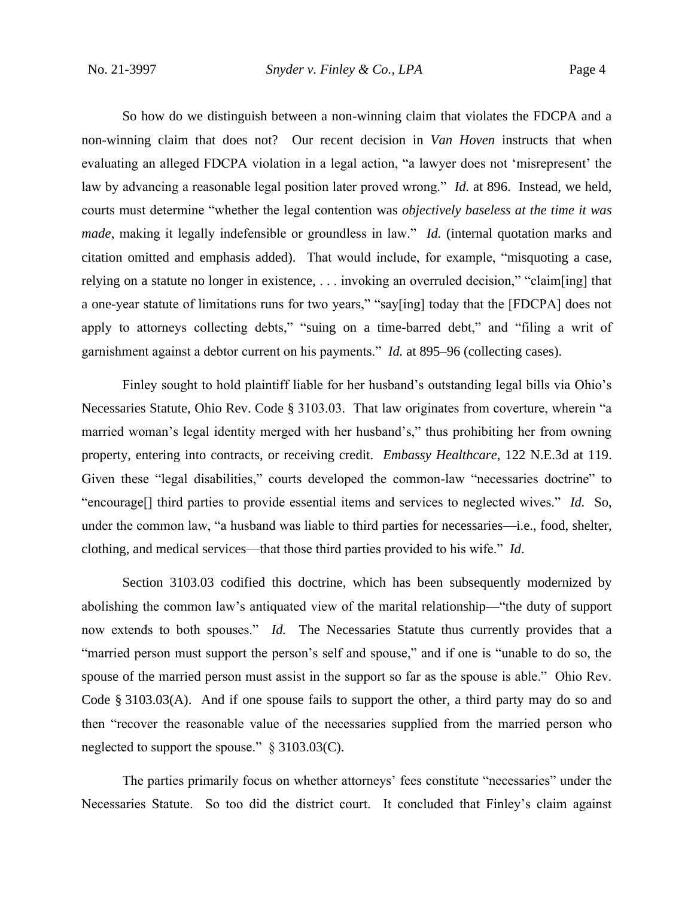So how do we distinguish between a non-winning claim that violates the FDCPA and a non-winning claim that does not? Our recent decision in *Van Hoven* instructs that when evaluating an alleged FDCPA violation in a legal action, "a lawyer does not 'misrepresent' the law by advancing a reasonable legal position later proved wrong." *Id.* at 896. Instead, we held, courts must determine "whether the legal contention was *objectively baseless at the time it was made*, making it legally indefensible or groundless in law." *Id.* (internal quotation marks and citation omitted and emphasis added). That would include, for example, "misquoting a case, relying on a statute no longer in existence, . . . invoking an overruled decision," "claim[ing] that a one-year statute of limitations runs for two years," "say[ing] today that the [FDCPA] does not apply to attorneys collecting debts," "suing on a time-barred debt," and "filing a writ of garnishment against a debtor current on his payments." *Id.* at 895–96 (collecting cases).

Finley sought to hold plaintiff liable for her husband's outstanding legal bills via Ohio's Necessaries Statute, Ohio Rev. Code § 3103.03. That law originates from coverture, wherein "a married woman's legal identity merged with her husband's," thus prohibiting her from owning property, entering into contracts, or receiving credit. *Embassy Healthcare*, 122 N.E.3d at 119. Given these "legal disabilities," courts developed the common-law "necessaries doctrine" to "encourage[] third parties to provide essential items and services to neglected wives." *Id.* So, under the common law, "a husband was liable to third parties for necessaries—i.e., food, shelter, clothing, and medical services—that those third parties provided to his wife." *Id*.

Section 3103.03 codified this doctrine, which has been subsequently modernized by abolishing the common law's antiquated view of the marital relationship—"the duty of support now extends to both spouses." *Id.* The Necessaries Statute thus currently provides that a "married person must support the person's self and spouse," and if one is "unable to do so, the spouse of the married person must assist in the support so far as the spouse is able." Ohio Rev. Code § 3103.03(A). And if one spouse fails to support the other, a third party may do so and then "recover the reasonable value of the necessaries supplied from the married person who neglected to support the spouse." § 3103.03(C).

The parties primarily focus on whether attorneys' fees constitute "necessaries" under the Necessaries Statute. So too did the district court. It concluded that Finley's claim against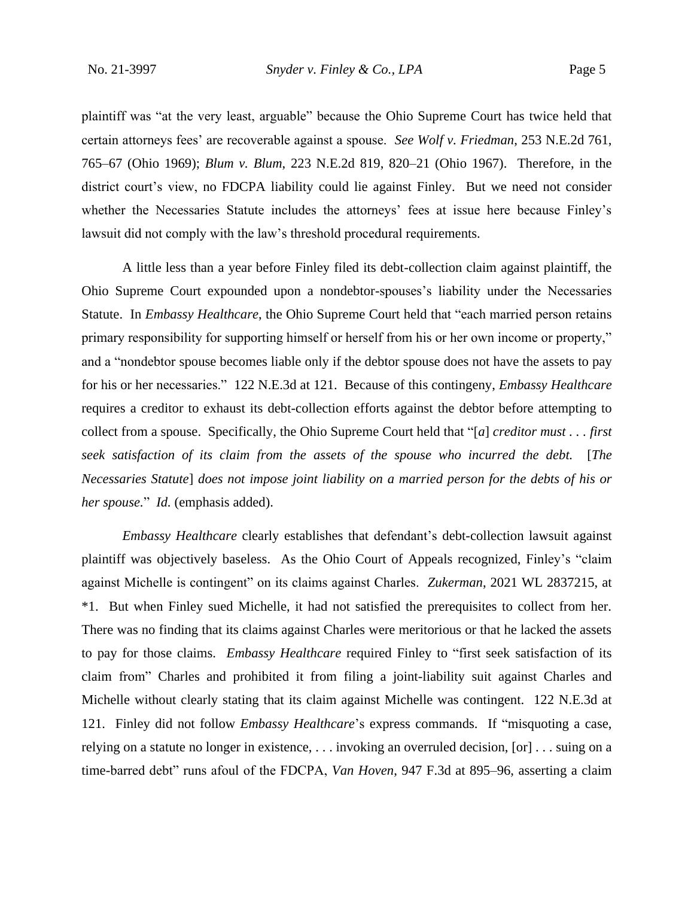plaintiff was "at the very least, arguable" because the Ohio Supreme Court has twice held that certain attorneys fees' are recoverable against a spouse. *See Wolf v. Friedman*, 253 N.E.2d 761, 765–67 (Ohio 1969); *Blum v. Blum*, 223 N.E.2d 819, 820–21 (Ohio 1967). Therefore, in the district court's view, no FDCPA liability could lie against Finley. But we need not consider whether the Necessaries Statute includes the attorneys' fees at issue here because Finley's lawsuit did not comply with the law's threshold procedural requirements.

A little less than a year before Finley filed its debt-collection claim against plaintiff, the Ohio Supreme Court expounded upon a nondebtor-spouses's liability under the Necessaries Statute. In *Embassy Healthcare*, the Ohio Supreme Court held that "each married person retains primary responsibility for supporting himself or herself from his or her own income or property," and a "nondebtor spouse becomes liable only if the debtor spouse does not have the assets to pay for his or her necessaries." 122 N.E.3d at 121. Because of this contingeny, *Embassy Healthcare* requires a creditor to exhaust its debt-collection efforts against the debtor before attempting to collect from a spouse. Specifically, the Ohio Supreme Court held that "[*a*] *creditor must . . . first seek satisfaction of its claim from the assets of the spouse who incurred the debt.* [*The Necessaries Statute*] *does not impose joint liability on a married person for the debts of his or her spouse.*" *Id.* (emphasis added).

*Embassy Healthcare* clearly establishes that defendant's debt-collection lawsuit against plaintiff was objectively baseless. As the Ohio Court of Appeals recognized, Finley's "claim against Michelle is contingent" on its claims against Charles. *Zukerman*, 2021 WL 2837215, at \*1. But when Finley sued Michelle, it had not satisfied the prerequisites to collect from her. There was no finding that its claims against Charles were meritorious or that he lacked the assets to pay for those claims. *Embassy Healthcare* required Finley to "first seek satisfaction of its claim from" Charles and prohibited it from filing a joint-liability suit against Charles and Michelle without clearly stating that its claim against Michelle was contingent. 122 N.E.3d at 121. Finley did not follow *Embassy Healthcare*'s express commands. If "misquoting a case, relying on a statute no longer in existence, . . . invoking an overruled decision, [or] . . . suing on a time-barred debt" runs afoul of the FDCPA, *Van Hoven*, 947 F.3d at 895–96, asserting a claim